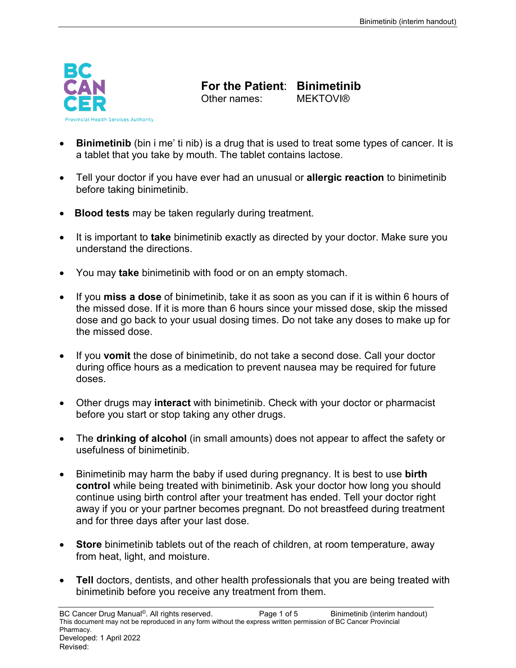

**For the Patient: Binimetinib**<br>Other names: MEKTOVI®

Other names:

- **Binimetinib** (bin i me' ti nib) is a drug that is used to treat some types of cancer. It is a tablet that you take by mouth. The tablet contains lactose.
- Tell your doctor if you have ever had an unusual or **allergic reaction** to binimetinib before taking binimetinib.
- **Blood tests** may be taken regularly during treatment.
- It is important to **take** binimetinib exactly as directed by your doctor. Make sure you understand the directions.
- You may **take** binimetinib with food or on an empty stomach.
- If you **miss a dose** of binimetinib, take it as soon as you can if it is within 6 hours of the missed dose. If it is more than 6 hours since your missed dose, skip the missed dose and go back to your usual dosing times. Do not take any doses to make up for the missed dose.
- If you **vomit** the dose of binimetinib, do not take a second dose. Call your doctor during office hours as a medication to prevent nausea may be required for future doses.
- Other drugs may **interact** with binimetinib. Check with your doctor or pharmacist before you start or stop taking any other drugs.
- The **drinking of alcohol** (in small amounts) does not appear to affect the safety or usefulness of binimetinib.
- Binimetinib may harm the baby if used during pregnancy. It is best to use **birth control** while being treated with binimetinib. Ask your doctor how long you should continue using birth control after your treatment has ended. Tell your doctor right away if you or your partner becomes pregnant. Do not breastfeed during treatment and for three days after your last dose.
- **Store** binimetinib tablets out of the reach of children, at room temperature, away from heat, light, and moisture.
- **Tell** doctors, dentists, and other health professionals that you are being treated with binimetinib before you receive any treatment from them.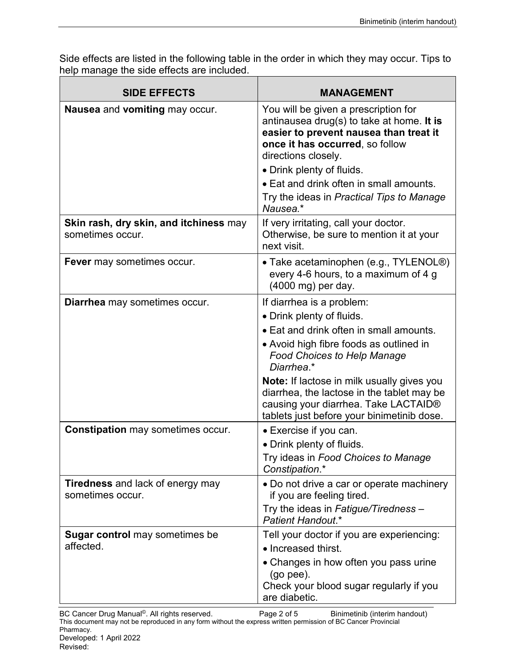Side effects are listed in the following table in the order in which they may occur. Tips to help manage the side effects are included.

| <b>SIDE EFFECTS</b>                                         | <b>MANAGEMENT</b>                                                                                                                                                                                                  |
|-------------------------------------------------------------|--------------------------------------------------------------------------------------------------------------------------------------------------------------------------------------------------------------------|
| Nausea and vomiting may occur.                              | You will be given a prescription for<br>antinausea drug(s) to take at home. It is<br>easier to prevent nausea than treat it<br>once it has occurred, so follow<br>directions closely.<br>• Drink plenty of fluids. |
|                                                             | • Eat and drink often in small amounts.                                                                                                                                                                            |
|                                                             | Try the ideas in Practical Tips to Manage<br>Nausea.*                                                                                                                                                              |
| Skin rash, dry skin, and itchiness may<br>sometimes occur.  | If very irritating, call your doctor.<br>Otherwise, be sure to mention it at your<br>next visit.                                                                                                                   |
| <b>Fever</b> may sometimes occur.                           | • Take acetaminophen (e.g., TYLENOL <sup>®</sup> )<br>every 4-6 hours, to a maximum of 4 g<br>(4000 mg) per day.                                                                                                   |
| Diarrhea may sometimes occur.                               | If diarrhea is a problem:                                                                                                                                                                                          |
|                                                             | • Drink plenty of fluids.                                                                                                                                                                                          |
|                                                             | • Eat and drink often in small amounts.<br>• Avoid high fibre foods as outlined in<br><b>Food Choices to Help Manage</b><br>Diarrhea.*                                                                             |
|                                                             | <b>Note:</b> If lactose in milk usually gives you<br>diarrhea, the lactose in the tablet may be<br>causing your diarrhea. Take LACTAID®<br>tablets just before your binimetinib dose.                              |
| <b>Constipation may sometimes occur.</b>                    | • Exercise if you can.                                                                                                                                                                                             |
|                                                             | • Drink plenty of fluids.<br>Try ideas in Food Choices to Manage<br>Constipation.*                                                                                                                                 |
| <b>Tiredness</b> and lack of energy may<br>sometimes occur. | • Do not drive a car or operate machinery<br>if you are feeling tired.                                                                                                                                             |
|                                                             | Try the ideas in Fatigue/Tiredness -<br>Patient Handout.*                                                                                                                                                          |
| <b>Sugar control</b> may sometimes be                       | Tell your doctor if you are experiencing:                                                                                                                                                                          |
| affected.                                                   | • Increased thirst.                                                                                                                                                                                                |
|                                                             | • Changes in how often you pass urine<br>$(go$ pee).<br>Check your blood sugar regularly if you<br>are diabetic.                                                                                                   |
|                                                             |                                                                                                                                                                                                                    |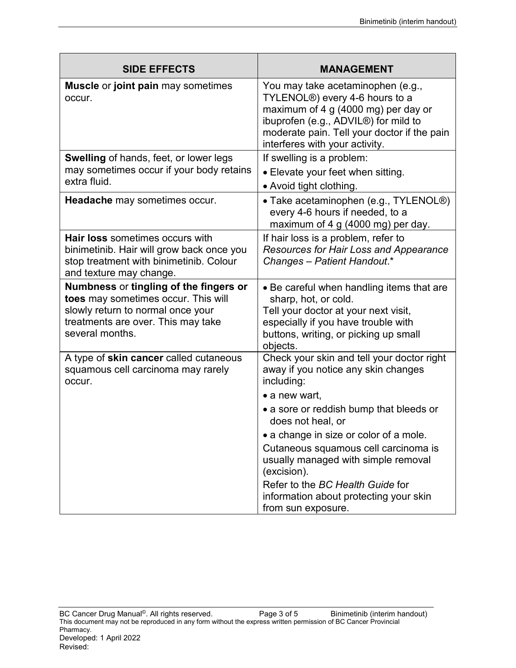| <b>SIDE EFFECTS</b>                                                                                                                                                         | <b>MANAGEMENT</b>                                                                                                                                                                                                                                             |
|-----------------------------------------------------------------------------------------------------------------------------------------------------------------------------|---------------------------------------------------------------------------------------------------------------------------------------------------------------------------------------------------------------------------------------------------------------|
| <b>Muscle or joint pain may sometimes</b><br>occur.                                                                                                                         | You may take acetaminophen (e.g.,<br>TYLENOL <sup>®</sup> ) every 4-6 hours to a<br>maximum of 4 g (4000 mg) per day or<br>ibuprofen (e.g., ADVIL <sup>®</sup> ) for mild to<br>moderate pain. Tell your doctor if the pain<br>interferes with your activity. |
| <b>Swelling of hands, feet, or lower legs</b><br>may sometimes occur if your body retains<br>extra fluid.                                                                   | If swelling is a problem:<br>• Elevate your feet when sitting.<br>• Avoid tight clothing.                                                                                                                                                                     |
| <b>Headache</b> may sometimes occur.                                                                                                                                        | • Take acetaminophen (e.g., TYLENOL®)<br>every 4-6 hours if needed, to a<br>maximum of 4 g (4000 mg) per day.                                                                                                                                                 |
| <b>Hair loss</b> sometimes occurs with<br>binimetinib. Hair will grow back once you<br>stop treatment with binimetinib. Colour<br>and texture may change.                   | If hair loss is a problem, refer to<br>Resources for Hair Loss and Appearance<br>Changes - Patient Handout.*                                                                                                                                                  |
| Numbness or tingling of the fingers or<br>toes may sometimes occur. This will<br>slowly return to normal once your<br>treatments are over. This may take<br>several months. | • Be careful when handling items that are<br>sharp, hot, or cold.<br>Tell your doctor at your next visit,<br>especially if you have trouble with<br>buttons, writing, or picking up small<br>objects.                                                         |
| A type of skin cancer called cutaneous<br>squamous cell carcinoma may rarely<br>occur.                                                                                      | Check your skin and tell your doctor right<br>away if you notice any skin changes<br>including:<br>$\bullet$ a new wart,<br>• a sore or reddish bump that bleeds or<br>does not heal, or                                                                      |
|                                                                                                                                                                             | • a change in size or color of a mole.<br>Cutaneous squamous cell carcinoma is<br>usually managed with simple removal<br>(excision).<br>Refer to the BC Health Guide for<br>information about protecting your skin<br>from sun exposure.                      |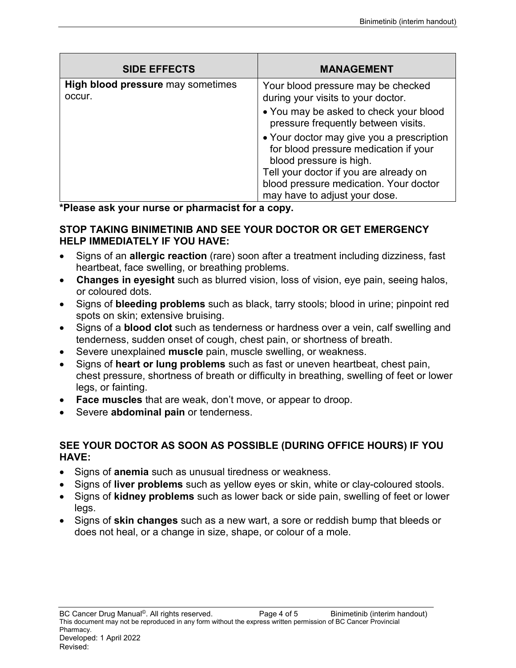| <b>SIDE EFFECTS</b>                                | <b>MANAGEMENT</b>                                                                                             |
|----------------------------------------------------|---------------------------------------------------------------------------------------------------------------|
| <b>High blood pressure</b> may sometimes<br>occur. | Your blood pressure may be checked<br>during your visits to your doctor.                                      |
|                                                    | • You may be asked to check your blood<br>pressure frequently between visits.                                 |
|                                                    | • Your doctor may give you a prescription<br>for blood pressure medication if your<br>blood pressure is high. |
|                                                    | Tell your doctor if you are already on                                                                        |
|                                                    | blood pressure medication. Your doctor                                                                        |
|                                                    | may have to adjust your dose.                                                                                 |

**\*Please ask your nurse or pharmacist for a copy.**

## **STOP TAKING BINIMETINIB AND SEE YOUR DOCTOR OR GET EMERGENCY HELP IMMEDIATELY IF YOU HAVE:**

- Signs of an **allergic reaction** (rare) soon after a treatment including dizziness, fast heartbeat, face swelling, or breathing problems.
- **Changes in eyesight** such as blurred vision, loss of vision, eye pain, seeing halos, or coloured dots.
- Signs of **bleeding problems** such as black, tarry stools; blood in urine; pinpoint red spots on skin; extensive bruising.
- Signs of a **blood clot** such as tenderness or hardness over a vein, calf swelling and tenderness, sudden onset of cough, chest pain, or shortness of breath.
- Severe unexplained **muscle** pain, muscle swelling, or weakness.
- Signs of **heart or lung problems** such as fast or uneven heartbeat, chest pain, chest pressure, shortness of breath or difficulty in breathing, swelling of feet or lower legs, or fainting.
- **Face muscles** that are weak, don't move, or appear to droop.
- Severe **abdominal pain** or tenderness.

## **SEE YOUR DOCTOR AS SOON AS POSSIBLE (DURING OFFICE HOURS) IF YOU HAVE:**

- Signs of **anemia** such as unusual tiredness or weakness.
- Signs of **liver problems** such as yellow eyes or skin, white or clay-coloured stools.
- Signs of **kidney problems** such as lower back or side pain, swelling of feet or lower legs.
- Signs of **skin changes** such as a new wart, a sore or reddish bump that bleeds or does not heal, or a change in size, shape, or colour of a mole.